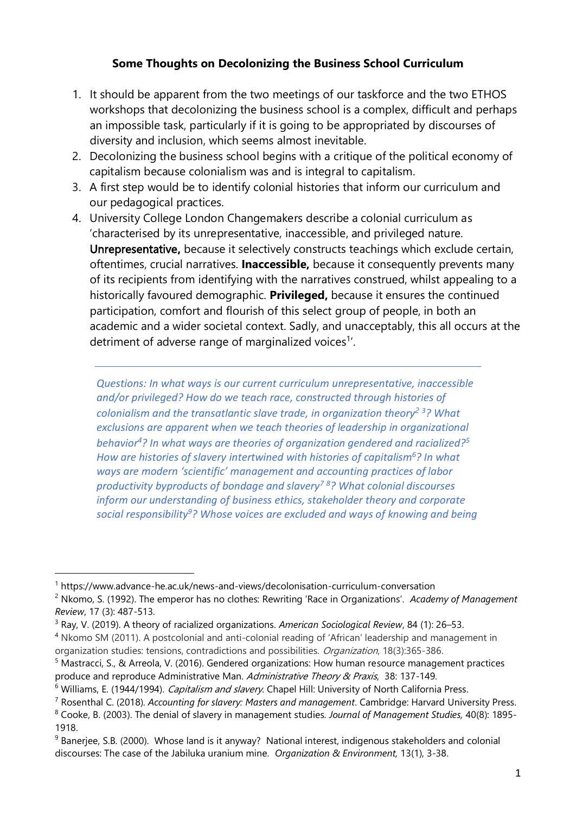## **Some Thoughts on Decolonizing the Business School Curriculum**

- 1. It should be apparent from the two meetings of our taskforce and the two ETHOS workshops that decolonizing the business school is a complex, difficult and perhaps an impossible task, particularly if it is going to be appropriated by discourses of diversity and inclusion, which seems almost inevitable.
- 2. Decolonizing the business school begins with a critique of the political economy of capitalism because colonialism was and is integral to capitalism.
- 3. A first step would be to identify colonial histories that inform our curriculum and our pedagogical practices.
- 4. University College London Changemakers describe a colonial curriculum as 'characterised by its unrepresentative, inaccessible, and privileged nature. Unrepresentative**,** because it selectively constructs teachings which exclude certain, oftentimes, crucial narratives. **Inaccessible,** because it consequently prevents many of its recipients from identifying with the narratives construed, whilst appealing to a historically favoured demographic. **Privileged,** because it ensures the continued participation, comfort and flourish of this select group of people, in both an academic and a wider societal context. Sadly, and unacceptably, this all occurs at the detriment of adverse range of marginalized voices<sup>1'</sup>.

*Questions: In what ways is our current curriculum unrepresentative, inaccessible and/or privileged? How do we teach race, constructed through histories of colonialism and the transatlantic slave trade, in organization theory<sup>2</sup> <sup>3</sup>? What exclusions are apparent when we teach theories of leadership in organizational behavior<sup>4</sup>? In what ways are theories of organization gendered and racialized?<sup>5</sup> How are histories of slavery intertwined with histories of capitalism<sup>6</sup>? In what ways are modern 'scientific' management and accounting practices of labor productivity byproducts of bondage and slavery<sup>7</sup> <sup>8</sup>? What colonial discourses inform our understanding of business ethics, stakeholder theory and corporate social responsibility<sup>9</sup>? Whose voices are excluded and ways of knowing and being* 

<sup>1</sup> https://www.advance-he.ac.uk/news-and-views/decolonisation-curriculum-conversation

<sup>2</sup> Nkomo, S. (1992). The emperor has no clothes: Rewriting 'Race in Organizations'. *Academy of Management Review*, 17 (3): 487-513.

<sup>3</sup> Ray, V. (2019). A theory of racialized organizations. *American Sociological Review*, 84 (1): 26–53.

<sup>4</sup> Nkomo SM (2011). A postcolonial and anti-colonial reading of 'African' leadership and management in organization studies: tensions, contradictions and possibilities. *Organization*, 18(3):365-386.

<sup>5</sup> Mastracci, S., & Arreola, V. (2016). Gendered organizations: How human resource management practices produce and reproduce Administrative Man. Administrative Theory & Praxis, 38: 137-149.

<sup>&</sup>lt;sup>6</sup> Williams, E. (1944/1994). Capitalism and slavery. Chapel Hill: University of North California Press.

<sup>7</sup> Rosenthal C. (2018). *Accounting for slavery: Masters and management*. Cambridge: Harvard University Press.

<sup>8</sup> Cooke, B. (2003). The denial of slavery in management studies. *Journal of Management Studies,* 40(8): 1895- 1918.

<sup>&</sup>lt;sup>9</sup> Banerjee, S.B. (2000). Whose land is it anyway? National interest, indigenous stakeholders and colonial discourses: The case of the Jabiluka uranium mine. *Organization & Environment,* 13(1), 3-38.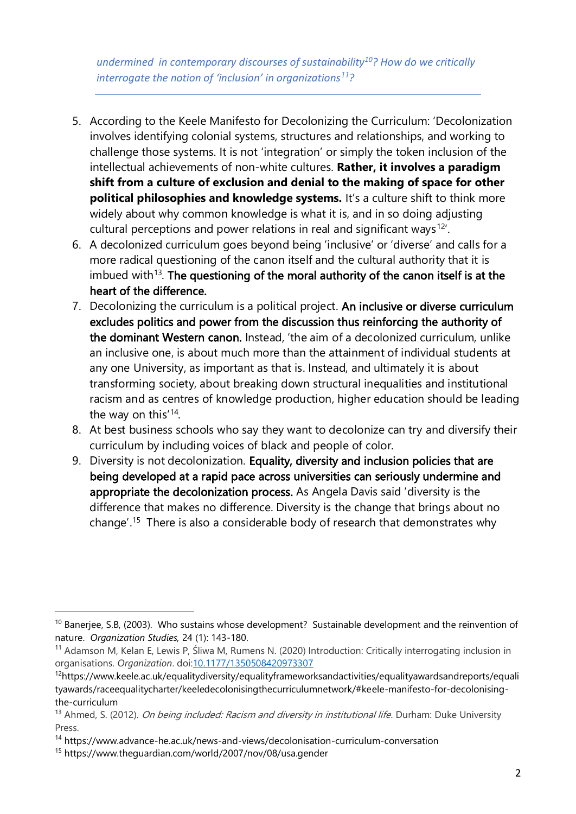*undermined in contemporary discourses of sustainability<sup>10</sup>? How do we critically interrogate the notion of 'inclusion' in organizations<sup>11</sup>?*

- 5. According to the Keele Manifesto for Decolonizing the Curriculum: 'Decolonization involves identifying colonial systems, structures and relationships, and working to challenge those systems. It is not 'integration' or simply the token inclusion of the intellectual achievements of non-white cultures. **Rather, it involves a paradigm shift from a culture of exclusion and denial to the making of space for other political philosophies and knowledge systems.** It's a culture shift to think more widely about why common knowledge is what it is, and in so doing adjusting cultural perceptions and power relations in real and significant ways<sup>12'</sup>.
- 6. A decolonized curriculum goes beyond being 'inclusive' or 'diverse' and calls for a more radical questioning of the canon itself and the cultural authority that it is imbued with<sup>13</sup>. The questioning of the moral authority of the canon itself is at the heart of the difference.
- 7. Decolonizing the curriculum is a political project. An inclusive or diverse curriculum excludes politics and power from the discussion thus reinforcing the authority of the dominant Western canon. Instead, 'the aim of a decolonized curriculum, unlike an inclusive one, is about much more than the attainment of individual students at any one University, as important as that is. Instead, and ultimately it is about transforming society, about breaking down structural inequalities and institutional racism and as centres of knowledge production, higher education should be leading the way on this<sup>'14</sup>.
- 8. At best business schools who say they want to decolonize can try and diversify their curriculum by including voices of black and people of color.
- 9. Diversity is not decolonization. Equality, diversity and inclusion policies that are being developed at a rapid pace across universities can seriously undermine and appropriate the decolonization process. As Angela Davis said 'diversity is the difference that makes no difference. Diversity is the change that brings about no change'.<sup>15</sup> There is also a considerable body of research that demonstrates why

 $10$  Banerjee, S.B, (2003). Who sustains whose development? Sustainable development and the reinvention of nature. *Organization Studies,* 24 (1): 143-180.

<sup>11</sup> Adamson M, Kelan E, Lewis P, Śliwa M, Rumens N. (2020) Introduction: Critically interrogating inclusion in organisations. *Organization*. doi[:10.1177/1350508420973307](https://doi.org/10.1177/1350508420973307)

<sup>12</sup>https://www.keele.ac.uk/equalitydiversity/equalityframeworksandactivities/equalityawardsandreports/equali tyawards/raceequalitycharter/keeledecolonisingthecurriculumnetwork/#keele-manifesto-for-decolonisingthe-curriculum

<sup>&</sup>lt;sup>13</sup> Ahmed, S. (2012). *On being included: Racism and diversity in institutional life*. Durham: Duke University Press.

<sup>14</sup> https://www.advance-he.ac.uk/news-and-views/decolonisation-curriculum-conversation

<sup>15</sup> https://www.theguardian.com/world/2007/nov/08/usa.gender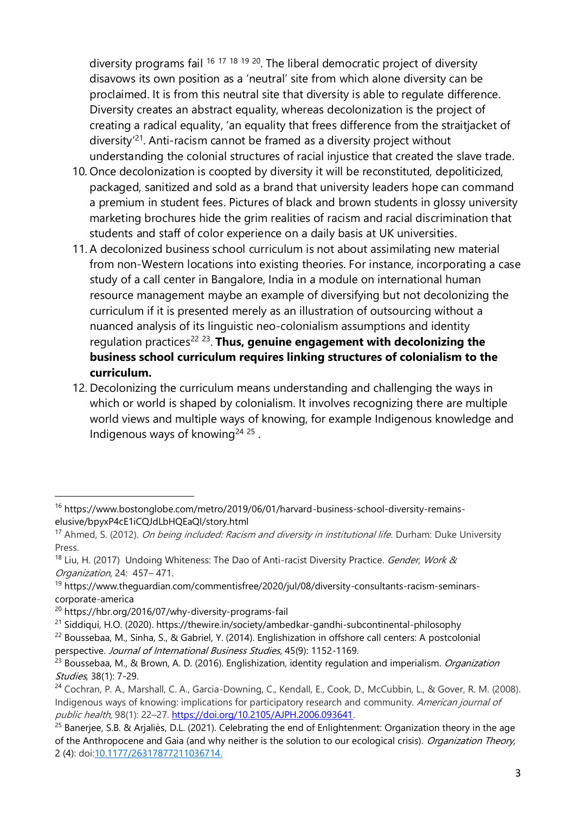diversity programs fail <sup>16 17 18 19 20</sup>. The liberal democratic project of diversity disavows its own position as a 'neutral' site from which alone diversity can be proclaimed. It is from this neutral site that diversity is able to regulate difference. Diversity creates an abstract equality, whereas decolonization is the project of creating a radical equality, 'an equality that frees difference from the straitjacket of diversity<sup>'21</sup>. Anti-racism cannot be framed as a diversity project without understanding the colonial structures of racial injustice that created the slave trade.

- 10. Once decolonization is coopted by diversity it will be reconstituted, depoliticized, packaged, sanitized and sold as a brand that university leaders hope can command a premium in student fees. Pictures of black and brown students in glossy university marketing brochures hide the grim realities of racism and racial discrimination that students and staff of color experience on a daily basis at UK universities.
- 11. A decolonized business school curriculum is not about assimilating new material from non-Western locations into existing theories. For instance, incorporating a case study of a call center in Bangalore, India in a module on international human resource management maybe an example of diversifying but not decolonizing the curriculum if it is presented merely as an illustration of outsourcing without a nuanced analysis of its linguistic neo-colonialism assumptions and identity regulation practices<sup>22 23</sup>. Thus, genuine engagement with decolonizing the **business school curriculum requires linking structures of colonialism to the curriculum.**
- 12. Decolonizing the curriculum means understanding and challenging the ways in which or world is shaped by colonialism. It involves recognizing there are multiple world views and multiple ways of knowing, for example Indigenous knowledge and Indigenous ways of knowing<sup>24 25</sup>.

<sup>&</sup>lt;sup>16</sup> https://www.bostonglobe.com/metro/2019/06/01/harvard-business-school-diversity-remainselusive/bpyxP4cE1iCQJdLbHQEaQI/story.html

<sup>&</sup>lt;sup>17</sup> Ahmed, S. (2012). *On being included: Racism and diversity in institutional life*. Durham: Duke University Press.

<sup>&</sup>lt;sup>18</sup> Liu, H. (2017) Undoing Whiteness: The Dao of Anti-racist Diversity Practice. Gender, Work & Organization, 24: 457– 471.

<sup>&</sup>lt;sup>19</sup> https://www.theguardian.com/commentisfree/2020/jul/08/diversity-consultants-racism-seminarscorporate-america

<sup>20</sup> https://hbr.org/2016/07/why-diversity-programs-fail

<sup>&</sup>lt;sup>21</sup> Siddiqui, H.O. (2020). https://thewire.in/society/ambedkar-gandhi-subcontinental-philosophy

<sup>&</sup>lt;sup>22</sup> Boussebaa, M., Sinha, S., & Gabriel, Y. (2014). Englishization in offshore call centers: A postcolonial perspective. Journal of International Business Studies, 45(9): 1152-1169.

 $^{23}$  Boussebaa, M., & Brown, A. D. (2016). Englishization, identity regulation and imperialism. *Organization* Studies, 38(1): 7-29.

<sup>&</sup>lt;sup>24</sup> Cochran, P. A., Marshall, C. A., Garcia-Downing, C., Kendall, E., Cook, D., McCubbin, L., & Gover, R. M. (2008). Indigenous ways of knowing: implications for participatory research and community. American journal of public health, 98(1): 22–27. [https://doi.org/10.2105/AJPH.2006.093641.](https://doi.org/10.2105/AJPH.2006.093641)

<sup>&</sup>lt;sup>25</sup> Banerjee, S.B. & Arjaliès, D.L. (2021). Celebrating the end of Enlightenment: Organization theory in the age of the Anthropocene and Gaia (and why neither is the solution to our ecological crisis). Organization Theory, 2 (4): do[i:10.1177/26317877211036714.](https://doi.org/10.1177/26317877211036714)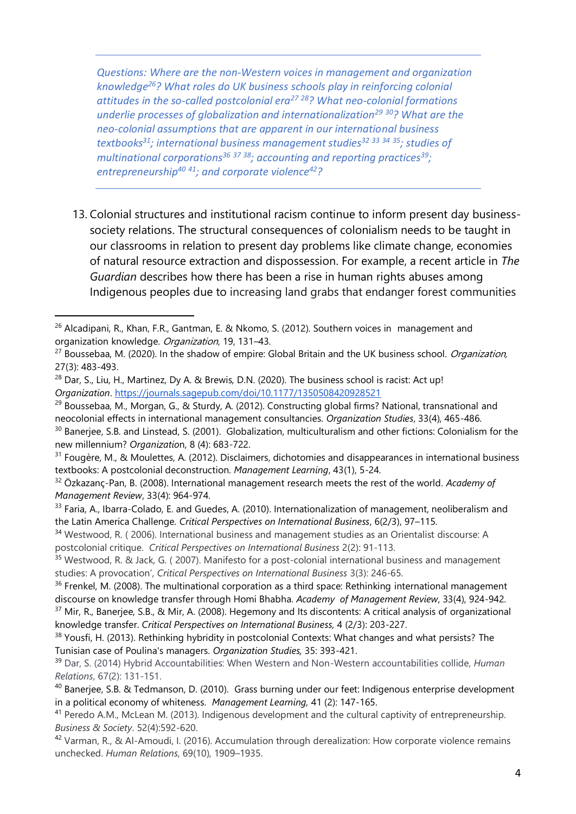*Questions: Where are the non-Western voices in management and organization knowledge<sup>26</sup>? What roles do UK business schools play in reinforcing colonial attitudes in the so-called postcolonial era<sup>27</sup> <sup>28</sup>? What neo-colonial formations underlie processes of globalization and internationalization<sup>29</sup> <sup>30</sup>? What are the neo-colonial assumptions that are apparent in our international business textbooks<sup>31</sup>; international business management studies<sup>32</sup> <sup>33</sup> <sup>34</sup> <sup>35</sup>; studies of multinational corporations<sup>36</sup> <sup>37</sup> <sup>38</sup>; accounting and reporting practices<sup>39</sup>; entrepreneurship<sup>40</sup> <sup>41</sup>; and corporate violence<sup>42</sup>?*

13. Colonial structures and institutional racism continue to inform present day businesssociety relations. The structural consequences of colonialism needs to be taught in our classrooms in relation to present day problems like climate change, economies of natural resource extraction and dispossession. For example, a recent article in *The Guardian* describes how there has been a rise in human rights abuses among Indigenous peoples due to increasing land grabs that endanger forest communities

<sup>&</sup>lt;sup>26</sup> Alcadipani, R., Khan, F.R., Gantman, E. & Nkomo, S. (2012). Southern voices in management and organization knowledge. Organization, 19, 131–43.

 $27$  Boussebaa, M. (2020). In the shadow of empire: Global Britain and the UK business school. *Organization*, 27(3): 483-493.

<sup>&</sup>lt;sup>28</sup> Dar, S., Liu, H., Martinez, Dy A. & Brewis, D.N. (2020). The business school is racist: Act up! *Organization*.<https://journals.sagepub.com/doi/10.1177/1350508420928521>

<sup>&</sup>lt;sup>29</sup> Boussebaa, M., Morgan, G., & Sturdy, A. (2012). Constructing global firms? National, transnational and neocolonial effects in international management consultancies. *Organization Studies*, 33(4), 465-486.

<sup>&</sup>lt;sup>30</sup> Banerjee, S.B. and Linstead, S. (2001). Globalization, multiculturalism and other fictions: Colonialism for the new millennium? *Organizatio*n, 8 (4): 683-722.

<sup>31</sup> Fougère, M., & Moulettes, A. (2012). Disclaimers, dichotomies and disappearances in international business textbooks: A postcolonial deconstruction. *Management Learning*, 43(1), 5-24.

<sup>32</sup> Özkazanç-Pan, B. (2008). International management research meets the rest of the world. *Academy of Management Review*, 33(4): 964-974.

<sup>&</sup>lt;sup>33</sup> Faria, A., Ibarra-Colado, E. and Guedes, A. (2010). Internationalization of management, neoliberalism and the Latin America Challenge. *Critical Perspectives on International Business*, 6(2/3), 97–115.

<sup>&</sup>lt;sup>34</sup> Westwood, R. (2006). International business and management studies as an Orientalist discourse: A postcolonial critique. *Critical Perspectives on International Business* 2(2): 91-113.

<sup>35</sup> Westwood, R. & Jack, G. ( 2007). Manifesto for a post-colonial international business and management studies: A provocation', *Critical Perspectives on International Business* 3(3): 246-65.

<sup>&</sup>lt;sup>36</sup> Frenkel, M. (2008). The multinational corporation as a third space: Rethinking international management discourse on knowledge transfer through Homi Bhabha. *Academy of Management Review*, 33(4), 924-942.

<sup>&</sup>lt;sup>37</sup> Mir, R., Banerjee, S.B., & Mir, A. (2008). Hegemony and Its discontents: A critical analysis of organizational knowledge transfer. *Critical Perspectives on International Business,* 4 (2/3): 203-227.

<sup>&</sup>lt;sup>38</sup> Yousfi, H. (2013). Rethinking hybridity in postcolonial Contexts: What changes and what persists? The Tunisian case of Poulina's managers. *Organization Studies,* 35: 393-421.

<sup>39</sup> Dar, S. (2014) Hybrid Accountabilities: When Western and Non-Western accountabilities collide, *Human Relations*, 67(2): 131-151.

<sup>40</sup> Banerjee, S.B. & Tedmanson, D. (2010). Grass burning under our feet: Indigenous enterprise development in a political economy of whiteness. *Management Learning,* 41 (2): 147-165.

<sup>&</sup>lt;sup>41</sup> Peredo A.M., McLean M. (2013). Indigenous development and the cultural captivity of entrepreneurship. *Business & Society*. 52(4):592-620.

<sup>42</sup> Varman, R., & Al-Amoudi, I. (2016). Accumulation through derealization: How corporate violence remains unchecked. *Human Relations*, 69(10), 1909–1935.